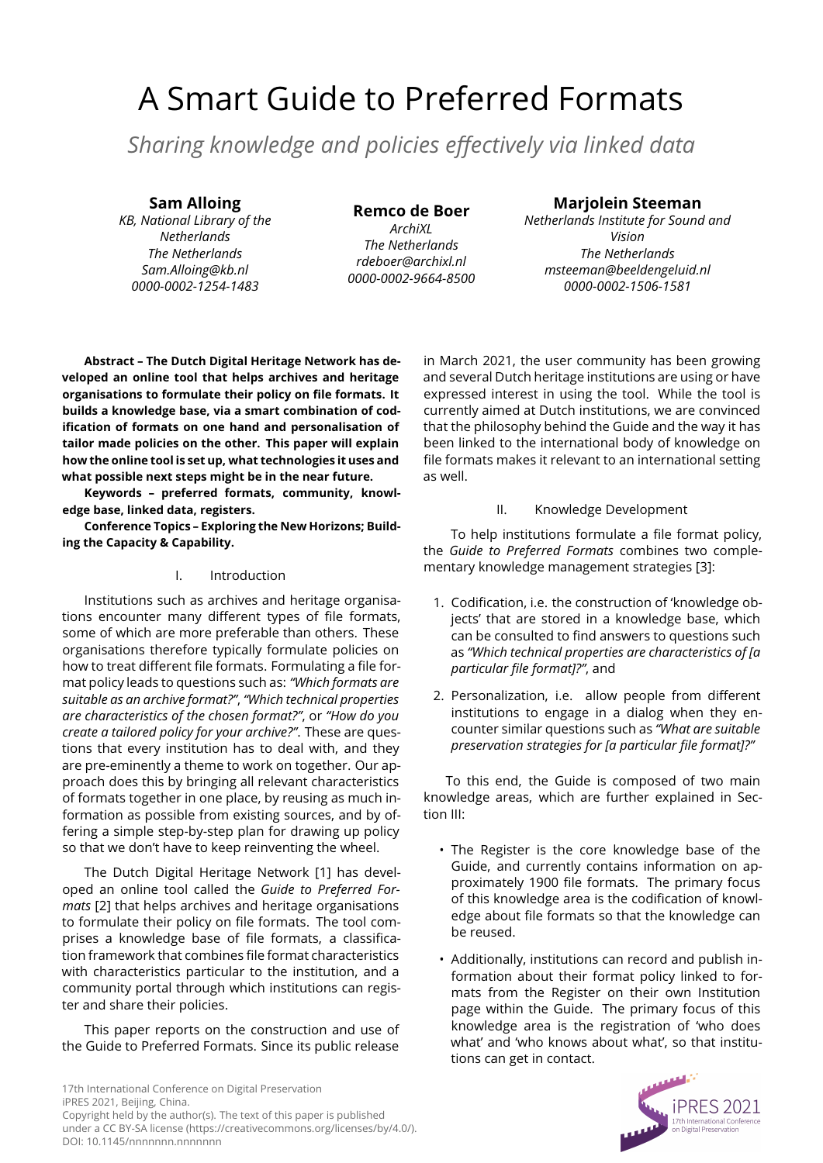# A Smart Guide to Preferred Formats

*Sharing knowledge and policies effectively via linked data*

## **Sam Alloing**

*KB, National Library of the Netherlands The Netherlands Sam.Alloing@kb.nl 0000-0002-1254-1483*

**Remco de Boer** *ArchiXL The Netherlands rdeboer@archixl.nl 0000-0002-9664-8500*

# **Marjolein Steeman**

*Netherlands Institute for Sound and Vision The Netherlands msteeman@beeldengeluid.nl 0000-0002-1506-1581*

**Abstract – The Dutch Digital Heritage Network has developed an online tool that helps archives and heritage organisations to formulate their policy on file formats. It builds a knowledge base, via a smart combination of codification of formats on one hand and personalisation of tailor made policies on the other. This paper will explain how the online tool is set up, what technologies it uses and what possible next steps might be in the near future.**

**Keywords – preferred formats, community, knowledge base, linked data, registers.**

**Conference Topics – Exploring the New Horizons; Building the Capacity & Capability.**

## I. Introduction

Institutions such as archives and heritage organisations encounter many different types of file formats, some of which are more preferable than others. These organisations therefore typically formulate policies on how to treat different file formats. Formulating a file format policy leads to questions such as: *"Which formats are suitable as an archive format?"*, *"Which technical properties are characteristics of the chosen format?"*, or *"How do you create a tailored policy for your archive?"*. These are questions that every institution has to deal with, and they are pre-eminently a theme to work on together. Our approach does this by bringing all relevant characteristics of formats together in one place, by reusing as much information as possible from existing sources, and by offering a simple step-by-step plan for drawing up policy so that we don't have to keep reinventing the wheel.

The Dutch Digital Heritage Network [\[1\]](#page-4-0) has developed an online tool called the *Guide to Preferred Formats* [\[2\]](#page-4-1) that helps archives and heritage organisations to formulate their policy on file formats. The tool comprises a knowledge base of file formats, a classification framework that combines file format characteristics with characteristics particular to the institution, and a community portal through which institutions can register and share their policies.

This paper reports on the construction and use of the Guide to Preferred Formats. Since its public release

in March 2021, the user community has been growing and several Dutch heritage institutions are using or have expressed interest in using the tool. While the tool is currently aimed at Dutch institutions, we are convinced that the philosophy behind the Guide and the way it has been linked to the international body of knowledge on file formats makes it relevant to an international setting as well.

## II. Knowledge Development

<span id="page-0-0"></span>To help institutions formulate a file format policy, the *Guide to Preferred Formats* combines two complementary knowledge management strategies [\[3\]](#page-4-2):

- 1. Codification, i.e. the construction of 'knowledge objects' that are stored in a knowledge base, which can be consulted to find answers to questions such as *"Which technical properties are characteristics of [a particular file format]?"*, and
- 2. Personalization, i.e. allow people from different institutions to engage in a dialog when they encounter similar questions such as *"What are suitable preservation strategies for [a particular file format]?"*

To this end, the Guide is composed of two main knowledge areas, which are further explained in Section [III:](#page-1-0)

- The Register is the core knowledge base of the Guide, and currently contains information on approximately 1900 file formats. The primary focus of this knowledge area is the codification of knowledge about file formats so that the knowledge can be reused.
- Additionally, institutions can record and publish information about their format policy linked to formats from the Register on their own Institution page within the Guide. The primary focus of this knowledge area is the registration of 'who does what' and 'who knows about what', so that institutions can get in contact.

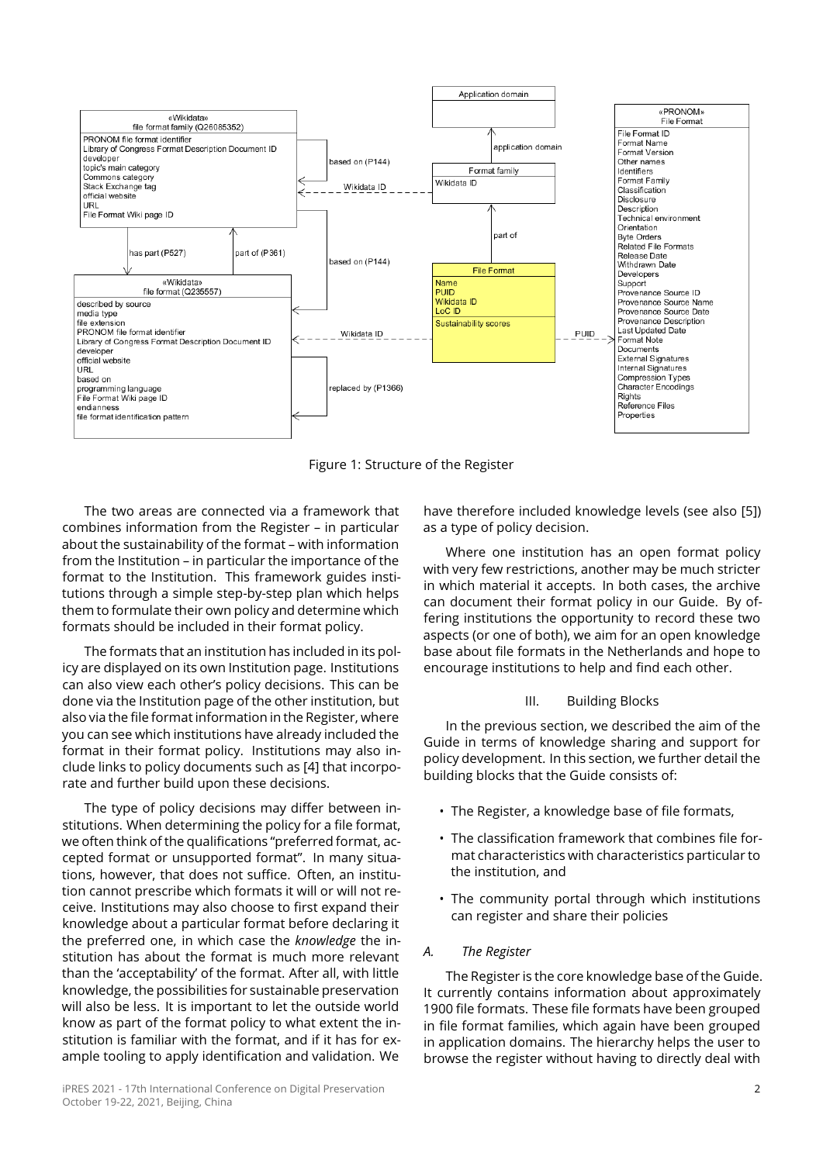<span id="page-1-1"></span>

Figure 1: Structure of the Register

The two areas are connected via a framework that combines information from the Register – in particular about the sustainability of the format – with information from the Institution – in particular the importance of the format to the Institution. This framework guides institutions through a simple step-by-step plan which helps them to formulate their own policy and determine which formats should be included in their format policy.

The formats that an institution has included in its policy are displayed on its own Institution page. Institutions can also view each other's policy decisions. This can be done via the Institution page of the other institution, but also via the file format information in the Register, where you can see which institutions have already included the format in their format policy. Institutions may also include links to policy documents such as [\[4\]](#page-4-3) that incorporate and further build upon these decisions.

The type of policy decisions may differ between institutions. When determining the policy for a file format, we often think of the qualifications "preferred format, accepted format or unsupported format". In many situations, however, that does not suffice. Often, an institution cannot prescribe which formats it will or will not receive. Institutions may also choose to first expand their knowledge about a particular format before declaring it the preferred one, in which case the *knowledge* the institution has about the format is much more relevant than the 'acceptability' of the format. After all, with little knowledge, the possibilities for sustainable preservation will also be less. It is important to let the outside world know as part of the format policy to what extent the institution is familiar with the format, and if it has for example tooling to apply identification and validation. We

have therefore included knowledge levels (see also [\[5\]](#page-4-4)) as a type of policy decision.

Where one institution has an open format policy with very few restrictions, another may be much stricter in which material it accepts. In both cases, the archive can document their format policy in our Guide. By offering institutions the opportunity to record these two aspects (or one of both), we aim for an open knowledge base about file formats in the Netherlands and hope to encourage institutions to help and find each other.

## III. Building Blocks

<span id="page-1-0"></span>In the previous section, we described the aim of the Guide in terms of knowledge sharing and support for policy development. In this section, we further detail the building blocks that the Guide consists of:

- The Register, a knowledge base of file formats,
- The classification framework that combines file format characteristics with characteristics particular to the institution, and
- The community portal through which institutions can register and share their policies

## *A. The Register*

The Register is the core knowledge base of the Guide. It currently contains information about approximately 1900 file formats. These file formats have been grouped in file format families, which again have been grouped in application domains. The hierarchy helps the user to browse the register without having to directly deal with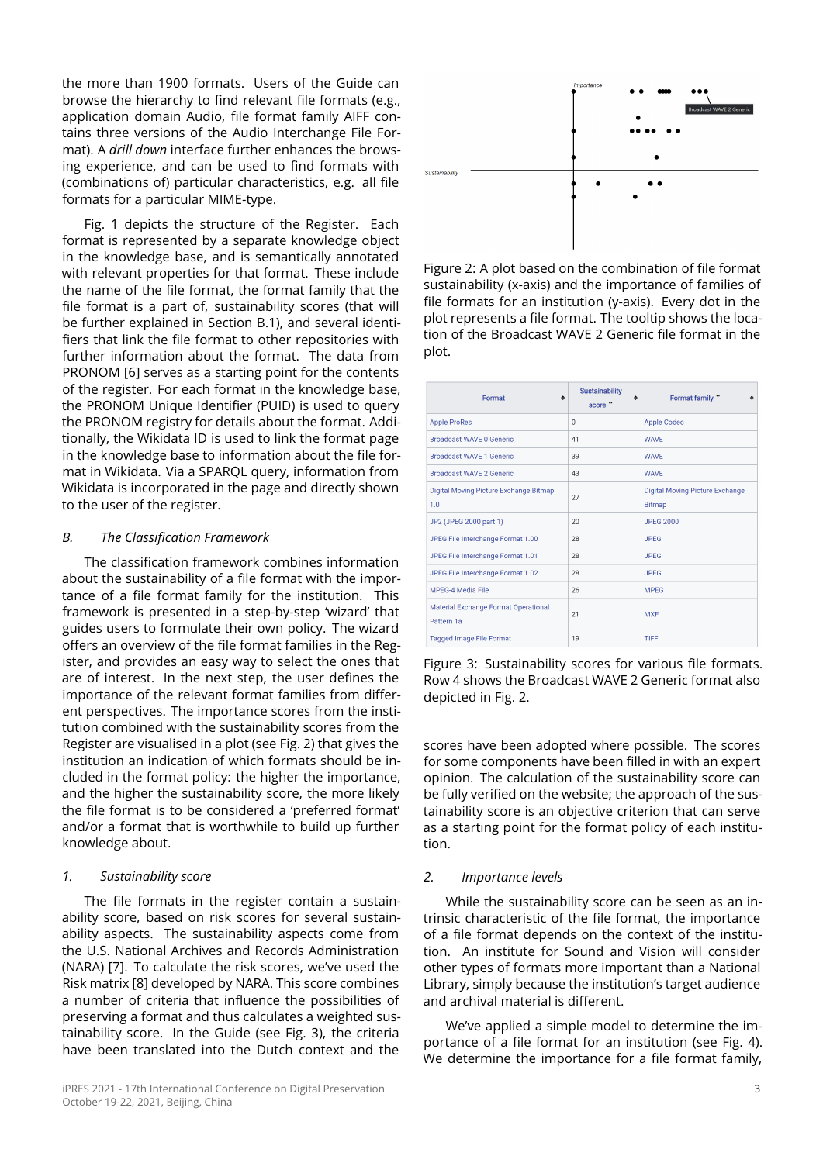the more than 1900 formats. Users of the Guide can browse the hierarchy to find relevant file formats (e.g., application domain Audio, file format family AIFF contains three versions of the Audio Interchange File Format). A *drill down* interface further enhances the browsing experience, and can be used to find formats with (combinations of) particular characteristics, e.g. all file formats for a particular MIME-type.

Fig. [1](#page-1-1) depicts the structure of the Register. Each format is represented by a separate knowledge object in the knowledge base, and is semantically annotated with relevant properties for that format. These include the name of the file format, the format family that the file format is a part of, sustainability scores (that will be further explained in Section [B.](#page-2-0)[1\)](#page-2-1), and several identifiers that link the file format to other repositories with further information about the format. The data from PRONOM [\[6\]](#page-4-5) serves as a starting point for the contents of the register. For each format in the knowledge base, the PRONOM Unique Identifier (PUID) is used to query the PRONOM registry for details about the format. Additionally, the Wikidata ID is used to link the format page in the knowledge base to information about the file format in Wikidata. Via a SPARQL query, information from Wikidata is incorporated in the page and directly shown to the user of the register.

## <span id="page-2-0"></span>*B. The Classification Framework*

The classification framework combines information about the sustainability of a file format with the importance of a file format family for the institution. This framework is presented in a step-by-step 'wizard' that guides users to formulate their own policy. The wizard offers an overview of the file format families in the Register, and provides an easy way to select the ones that are of interest. In the next step, the user defines the importance of the relevant format families from different perspectives. The importance scores from the institution combined with the sustainability scores from the Register are visualised in a plot (see Fig. [2\)](#page-2-2) that gives the institution an indication of which formats should be included in the format policy: the higher the importance, and the higher the sustainability score, the more likely the file format is to be considered a 'preferred format' and/or a format that is worthwhile to build up further knowledge about.

#### <span id="page-2-1"></span>*1. Sustainability score*

The file formats in the register contain a sustainability score, based on risk scores for several sustainability aspects. The sustainability aspects come from the U.S. National Archives and Records Administration (NARA) [\[7\]](#page-4-6). To calculate the risk scores, we've used the Risk matrix [\[8\]](#page-4-7) developed by NARA. This score combines a number of criteria that influence the possibilities of preserving a format and thus calculates a weighted sustainability score. In the Guide (see Fig. [3\)](#page-2-3), the criteria have been translated into the Dutch context and the

<span id="page-2-2"></span>

Figure 2: A plot based on the combination of file format sustainability (x-axis) and the importance of families of file formats for an institution (y-axis). Every dot in the plot represents a file format. The tooltip shows the location of the Broadcast WAVE 2 Generic file format in the plot.

<span id="page-2-3"></span>

| Format<br>≜                                        | <b>Sustainability</b><br>$\bullet$<br>score " | Format family "<br>$\triangleq$                         |  |
|----------------------------------------------------|-----------------------------------------------|---------------------------------------------------------|--|
| <b>Apple ProRes</b>                                | $\mathbf{0}$                                  | <b>Apple Codec</b>                                      |  |
| <b>Broadcast WAVE 0 Generic</b>                    | 41                                            | <b>WAVE</b>                                             |  |
| <b>Broadcast WAVE 1 Generic</b>                    | 39                                            | <b>WAVE</b>                                             |  |
| <b>Broadcast WAVE 2 Generic</b>                    | 43                                            | <b>WAVE</b>                                             |  |
| Digital Moving Picture Exchange Bitmap<br>1.0      | 27                                            | <b>Digital Moving Picture Exchange</b><br><b>Bitmap</b> |  |
| JP2 (JPEG 2000 part 1)                             | 20                                            | <b>JPEG 2000</b>                                        |  |
| JPEG File Interchange Format 1.00                  | 28                                            | <b>JPEG</b>                                             |  |
| JPEG File Interchange Format 1.01                  | 28                                            | <b>JPEG</b>                                             |  |
| JPEG File Interchange Format 1.02                  | 28                                            | <b>JPEG</b>                                             |  |
| <b>MPEG-4 Media File</b>                           | 26                                            | <b>MPEG</b>                                             |  |
| Material Exchange Format Operational<br>Pattern 1a | 21                                            | <b>MXF</b>                                              |  |
| <b>Tagged Image File Format</b>                    | 19                                            | TIFF                                                    |  |

Figure 3: Sustainability scores for various file formats. Row 4 shows the Broadcast WAVE 2 Generic format also depicted in Fig. [2.](#page-2-2)

scores have been adopted where possible. The scores for some components have been filled in with an expert opinion. The calculation of the sustainability score can be fully verified on the website; the approach of the sustainability score is an objective criterion that can serve as a starting point for the format policy of each institution.

#### *2. Importance levels*

While the sustainability score can be seen as an intrinsic characteristic of the file format, the importance of a file format depends on the context of the institution. An institute for Sound and Vision will consider other types of formats more important than a National Library, simply because the institution's target audience and archival material is different.

We've applied a simple model to determine the importance of a file format for an institution (see Fig. [4\)](#page-3-0). We determine the importance for a file format family,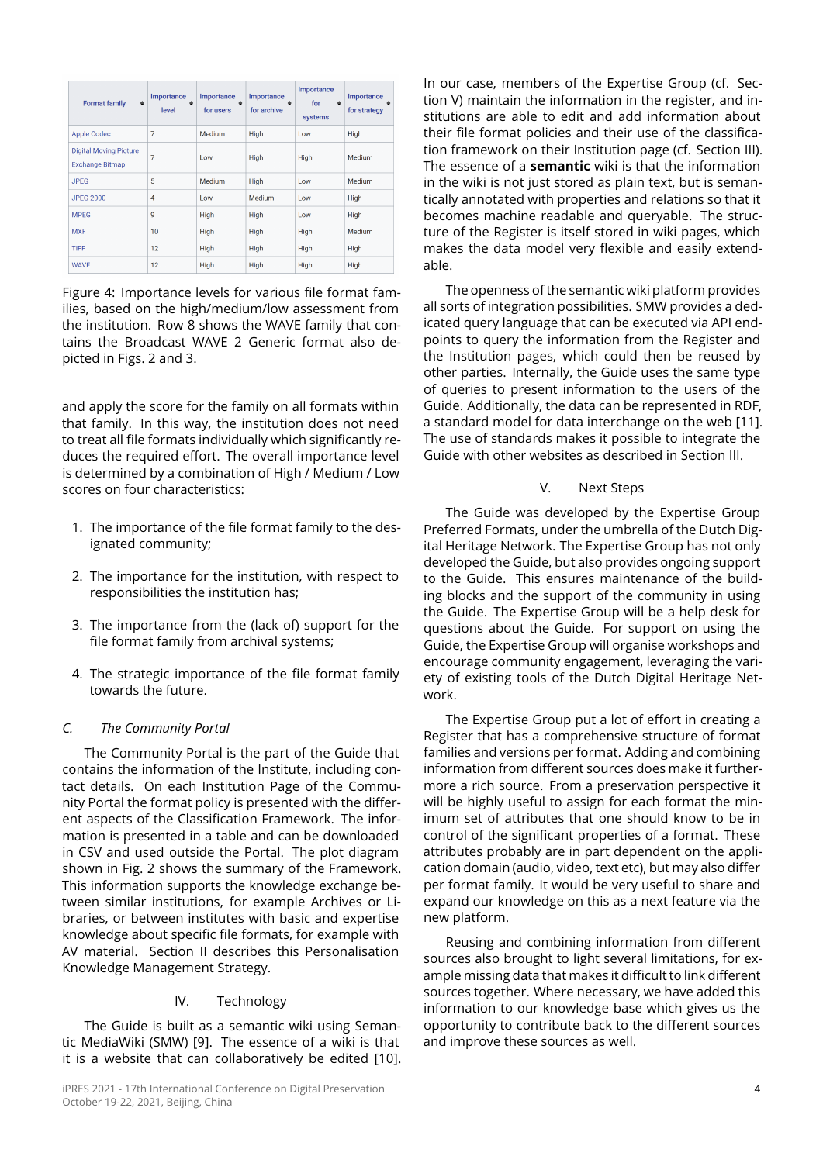<span id="page-3-0"></span>

| <b>Format family</b><br>$\bullet$                       | Importance<br>$\triangleq$<br>level | Importance<br>$\blacktriangle$<br>for users | Importance<br>$\bullet$<br>for archive | Importance<br>for<br>٠<br>systems | Importance<br>٠<br>for strategy |
|---------------------------------------------------------|-------------------------------------|---------------------------------------------|----------------------------------------|-----------------------------------|---------------------------------|
| <b>Apple Codec</b>                                      | $\overline{7}$                      | Medium                                      | High                                   | Low                               | High                            |
| <b>Digital Moving Picture</b><br><b>Exchange Bitmap</b> | 7                                   | Low                                         | High                                   | High                              | Medium                          |
| <b>JPEG</b>                                             | 5                                   | Medium                                      | High                                   | Low                               | Medium                          |
| <b>JPEG 2000</b>                                        | $\overline{4}$                      | Low                                         | Medium                                 | Low                               | High                            |
| <b>MPEG</b>                                             | 9                                   | <b>High</b>                                 | High                                   | Low                               | High                            |
| <b>MXF</b>                                              | 10                                  | High                                        | High                                   | High                              | Medium                          |
| <b>TIFF</b>                                             | 12                                  | High                                        | <b>High</b>                            | High                              | High                            |
| <b>WAVE</b>                                             | 12                                  | High                                        | High                                   | High                              | High                            |

Figure 4: Importance levels for various file format families, based on the high/medium/low assessment from the institution. Row 8 shows the WAVE family that contains the Broadcast WAVE 2 Generic format also depicted in Figs. [2](#page-2-2) and [3.](#page-2-3)

and apply the score for the family on all formats within that family. In this way, the institution does not need to treat all file formats individually which significantly reduces the required effort. The overall importance level is determined by a combination of High / Medium / Low scores on four characteristics:

- 1. The importance of the file format family to the designated community;
- 2. The importance for the institution, with respect to responsibilities the institution has;
- 3. The importance from the (lack of) support for the file format family from archival systems;
- 4. The strategic importance of the file format family towards the future.

## *C. The Community Portal*

The Community Portal is the part of the Guide that contains the information of the Institute, including contact details. On each Institution Page of the Community Portal the format policy is presented with the different aspects of the Classification Framework. The information is presented in a table and can be downloaded in CSV and used outside the Portal. The plot diagram shown in Fig. [2](#page-2-2) shows the summary of the Framework. This information supports the knowledge exchange between similar institutions, for example Archives or Libraries, or between institutes with basic and expertise knowledge about specific file formats, for example with AV material. Section [II](#page-0-0) describes this Personalisation Knowledge Management Strategy.

#### IV. Technology

<span id="page-3-2"></span>The Guide is built as a semantic wiki using Semantic MediaWiki (SMW) [\[9\]](#page-4-8). The essence of a wiki is that it is a website that can collaboratively be edited [\[10\]](#page-4-9). In our case, members of the Expertise Group (cf. Section [V\)](#page-3-1) maintain the information in the register, and institutions are able to edit and add information about their file format policies and their use of the classification framework on their Institution page (cf. Section [III\)](#page-1-0). The essence of a **semantic** wiki is that the information in the wiki is not just stored as plain text, but is semantically annotated with properties and relations so that it becomes machine readable and queryable. The structure of the Register is itself stored in wiki pages, which makes the data model very flexible and easily extendable.

The openness of the semantic wiki platform provides all sorts of integration possibilities. SMW provides a dedicated query language that can be executed via API endpoints to query the information from the Register and the Institution pages, which could then be reused by other parties. Internally, the Guide uses the same type of queries to present information to the users of the Guide. Additionally, the data can be represented in RDF, a standard model for data interchange on the web [\[11\]](#page-4-10). The use of standards makes it possible to integrate the Guide with other websites as described in Section [III.](#page-1-0)

#### V. Next Steps

<span id="page-3-1"></span>The Guide was developed by the Expertise Group Preferred Formats, under the umbrella of the Dutch Digital Heritage Network. The Expertise Group has not only developed the Guide, but also provides ongoing support to the Guide. This ensures maintenance of the building blocks and the support of the community in using the Guide. The Expertise Group will be a help desk for questions about the Guide. For support on using the Guide, the Expertise Group will organise workshops and encourage community engagement, leveraging the variety of existing tools of the Dutch Digital Heritage Network.

The Expertise Group put a lot of effort in creating a Register that has a comprehensive structure of format families and versions per format. Adding and combining information from different sources does make it furthermore a rich source. From a preservation perspective it will be highly useful to assign for each format the minimum set of attributes that one should know to be in control of the significant properties of a format. These attributes probably are in part dependent on the application domain (audio, video, text etc), but may also differ per format family. It would be very useful to share and expand our knowledge on this as a next feature via the new platform.

Reusing and combining information from different sources also brought to light several limitations, for example missing data that makes it difficult to link different sources together. Where necessary, we have added this information to our knowledge base which gives us the opportunity to contribute back to the different sources and improve these sources as well.